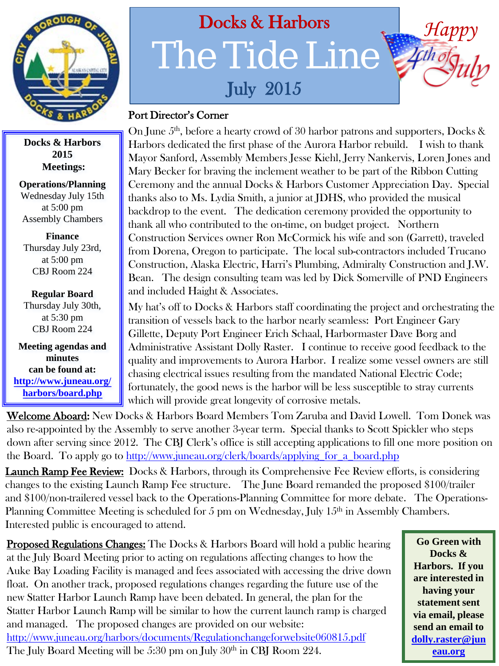

## **Docks & Harbors 2015 Meetings:**

**Operations/Planning** Wednesday July 15th at 5:00 pm Assembly Chambers

**Finance**  Thursday July 23rd, at 5:00 pm CBJ Room 224

**Regular Board** Thursday July 30th, at 5:30 pm CBJ Room 224

**Meeting agendas and minutes can be found at: [http://www.juneau.org/](http://www.juneau.org/harbors/board.php) [harbors/board.php](http://www.juneau.org/harbors/board.php)**

## Docks & Harbors The Tide Line July 2015

## Port Director's Corner

On June 5<sup>th</sup>, before a hearty crowd of 30 harbor patrons and supporters, Docks & Harbors dedicated the first phase of the Aurora Harbor rebuild. I wish to thank Mayor Sanford, Assembly Members Jesse Kiehl, Jerry Nankervis, Loren Jones and Mary Becker for braving the inclement weather to be part of the Ribbon Cutting Ceremony and the annual Docks & Harbors Customer Appreciation Day. Special thanks also to Ms. Lydia Smith, a junior at JDHS, who provided the musical backdrop to the event. The dedication ceremony provided the opportunity to thank all who contributed to the on-time, on budget project. Northern Construction Services owner Ron McCormick his wife and son (Garrett), traveled from Dorena, Oregon to participate. The local sub-contractors included Trucano Construction, Alaska Electric, Harri's Plumbing, Admiralty Construction and J.W. Bean. The design consulting team was led by Dick Somerville of PND Engineers and included Haight & Associates.

My hat's off to Docks & Harbors staff coordinating the project and orchestrating the transition of vessels back to the harbor nearly seamless: Port Engineer Gary Gillette, Deputy Port Engineer Erich Schaal, Harbormaster Dave Borg and Administrative Assistant Dolly Raster. I continue to receive good feedback to the quality and improvements to Aurora Harbor. I realize some vessel owners are still chasing electrical issues resulting from the mandated National Electric Code; fortunately, the good news is the harbor will be less susceptible to stray currents which will provide great longevity of corrosive metals.

Welcome Aboard: New Docks & Harbors Board Members Tom Zaruba and David Lowell. Tom Donek was also re-appointed by the Assembly to serve another 3-year term. Special thanks to Scott Spickler who steps down after serving since 2012. The CBJ Clerk's office is still accepting applications to fill one more position on the Board. To apply go to [http://www.juneau.org/clerk/boards/applying\\_for\\_a\\_board.php](http://www.juneau.org/clerk/boards/applying_for_a_board.php)

**Launch Ramp Fee Review:** Docks & Harbors, through its Comprehensive Fee Review efforts, is considering changes to the existing Launch Ramp Fee structure. The June Board remanded the proposed \$100/trailer and \$100/non-trailered vessel back to the Operations-Planning Committee for more debate. The Operations-Planning Committee Meeting is scheduled for 5 pm on Wednesday, July  $15<sup>th</sup>$  in Assembly Chambers. Interested public is encouraged to attend.

**Proposed Regulations Changes:** The Docks & Harbors Board will hold a public hearing at the July Board Meeting prior to acting on regulations affecting changes to how the Auke Bay Loading Facility is managed and fees associated with accessing the drive down float. On another track, proposed regulations changes regarding the future use of the new Statter Harbor Launch Ramp have been debated. In general, the plan for the Statter Harbor Launch Ramp will be similar to how the current launch ramp is charged and managed. The proposed changes are provided on our website: <http://www.juneau.org/harbors/documents/Regulationchangeforwebsite060815.pdf> The July Board Meeting will be  $5:30$  pm on July  $30<sup>th</sup>$  in CBJ Room 224.

**Go Green with Docks & Harbors. If you are interested in having your statement sent via email, please send an email to [dolly.raster@jun](mailto:dolly.raster@juneau.org) [eau.org](mailto:dolly.raster@juneau.org)**

*Happy*